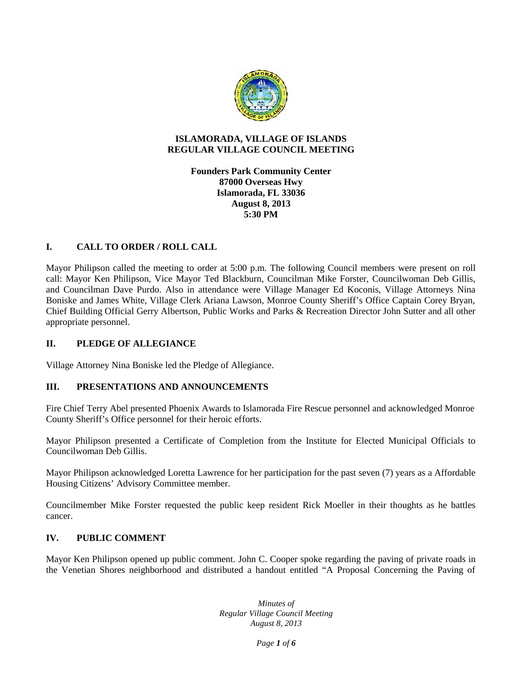

#### **ISLAMORADA, VILLAGE OF ISLANDS REGULAR VILLAGE COUNCIL MEETING**

#### **Founders Park Community Center 87000 Overseas Hwy Islamorada, FL 33036 August 8, 2013 5:30 PM**

# **I. CALL TO ORDER / ROLL CALL**

Mayor Philipson called the meeting to order at 5:00 p.m. The following Council members were present on roll call: Mayor Ken Philipson, Vice Mayor Ted Blackburn, Councilman Mike Forster, Councilwoman Deb Gillis, and Councilman Dave Purdo. Also in attendance were Village Manager Ed Koconis, Village Attorneys Nina Boniske and James White, Village Clerk Ariana Lawson, Monroe County Sheriff's Office Captain Corey Bryan, Chief Building Official Gerry Albertson, Public Works and Parks & Recreation Director John Sutter and all other appropriate personnel.

### **II. PLEDGE OF ALLEGIANCE**

Village Attorney Nina Boniske led the Pledge of Allegiance.

### **III. PRESENTATIONS AND ANNOUNCEMENTS**

Fire Chief Terry Abel presented Phoenix Awards to Islamorada Fire Rescue personnel and acknowledged Monroe County Sheriff's Office personnel for their heroic efforts.

Mayor Philipson presented a Certificate of Completion from the Institute for Elected Municipal Officials to Councilwoman Deb Gillis.

Mayor Philipson acknowledged Loretta Lawrence for her participation for the past seven (7) years as a Affordable Housing Citizens' Advisory Committee member.

Councilmember Mike Forster requested the public keep resident Rick Moeller in their thoughts as he battles cancer.

#### **IV. PUBLIC COMMENT**

Mayor Ken Philipson opened up public comment. John C. Cooper spoke regarding the paving of private roads in the Venetian Shores neighborhood and distributed a handout entitled "A Proposal Concerning the Paving of

> *Minutes of Regular Village Council Meeting August 8, 2013*

> > *Page 1 of 6*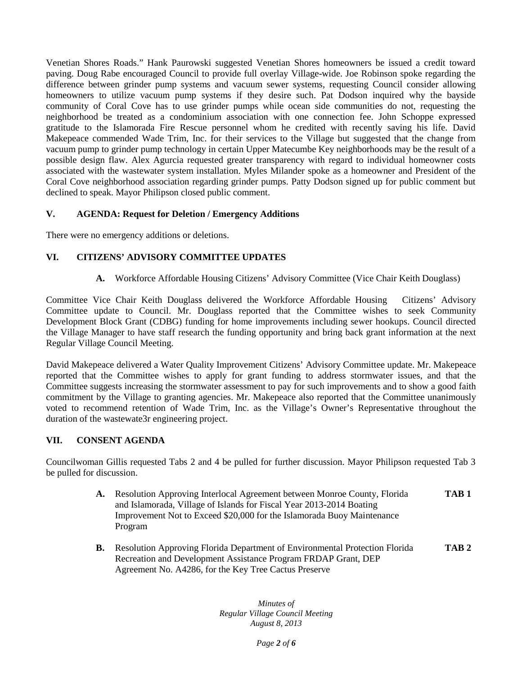Venetian Shores Roads." Hank Paurowski suggested Venetian Shores homeowners be issued a credit toward paving. Doug Rabe encouraged Council to provide full overlay Village-wide. Joe Robinson spoke regarding the difference between grinder pump systems and vacuum sewer systems, requesting Council consider allowing homeowners to utilize vacuum pump systems if they desire such. Pat Dodson inquired why the bayside community of Coral Cove has to use grinder pumps while ocean side communities do not, requesting the neighborhood be treated as a condominium association with one connection fee. John Schoppe expressed gratitude to the Islamorada Fire Rescue personnel whom he credited with recently saving his life. David Makepeace commended Wade Trim, Inc. for their services to the Village but suggested that the change from vacuum pump to grinder pump technology in certain Upper Matecumbe Key neighborhoods may be the result of a possible design flaw. Alex Agurcia requested greater transparency with regard to individual homeowner costs associated with the wastewater system installation. Myles Milander spoke as a homeowner and President of the Coral Cove neighborhood association regarding grinder pumps. Patty Dodson signed up for public comment but declined to speak. Mayor Philipson closed public comment.

### **V. AGENDA: Request for Deletion / Emergency Additions**

There were no emergency additions or deletions.

#### **VI. CITIZENS' ADVISORY COMMITTEE UPDATES**

**A.** Workforce Affordable Housing Citizens' Advisory Committee (Vice Chair Keith Douglass)

Committee Vice Chair Keith Douglass delivered the Workforce Affordable Housing Citizens' Advisory Committee update to Council. Mr. Douglass reported that the Committee wishes to seek Community Development Block Grant (CDBG) funding for home improvements including sewer hookups. Council directed the Village Manager to have staff research the funding opportunity and bring back grant information at the next Regular Village Council Meeting.

David Makepeace delivered a Water Quality Improvement Citizens' Advisory Committee update. Mr. Makepeace reported that the Committee wishes to apply for grant funding to address stormwater issues, and that the Committee suggests increasing the stormwater assessment to pay for such improvements and to show a good faith commitment by the Village to granting agencies. Mr. Makepeace also reported that the Committee unanimously voted to recommend retention of Wade Trim, Inc. as the Village's Owner's Representative throughout the duration of the wastewate3r engineering project.

#### **VII. CONSENT AGENDA**

Councilwoman Gillis requested Tabs 2 and 4 be pulled for further discussion. Mayor Philipson requested Tab 3 be pulled for discussion.

- **A.** Resolution Approving Interlocal Agreement between Monroe County, Florida **TAB 1** and Islamorada, Village of Islands for Fiscal Year 2013-2014 Boating Improvement Not to Exceed \$20,000 for the Islamorada Buoy Maintenance Program
- **B.** Resolution Approving Florida Department of Environmental Protection Florida **TAB 2** Recreation and Development Assistance Program FRDAP Grant, DEP Agreement No. A4286, for the Key Tree Cactus Preserve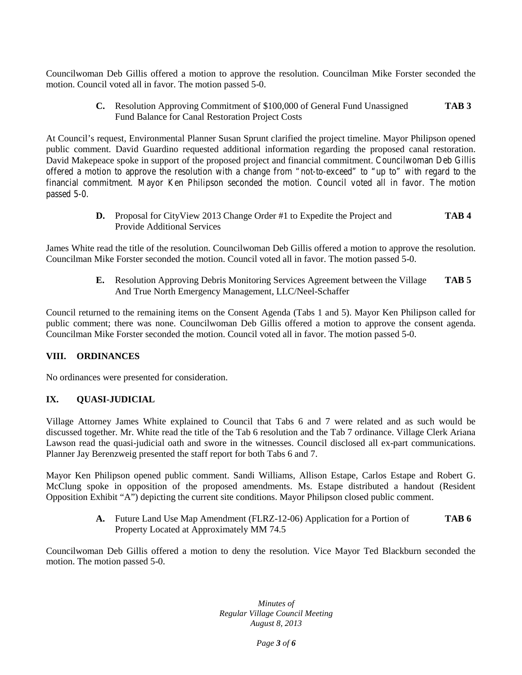Councilwoman Deb Gillis offered a motion to approve the resolution. Councilman Mike Forster seconded the motion. Council voted all in favor. The motion passed 5-0.

> **C.** Resolution Approving Commitment of \$100,000 of General Fund Unassigned **TAB 3** Fund Balance for Canal Restoration Project Costs

At Council's request, Environmental Planner Susan Sprunt clarified the project timeline. Mayor Philipson opened public comment. David Guardino requested additional information regarding the proposed canal restoration. David Makepeace spoke in support of the proposed project and financial commitment. Councilwoman Deb Gillis offered a motion to approve the resolution with a change from "not-to-exceed" to "up to" with regard to the financial commitment. Mayor Ken Philipson seconded the motion. Council voted all in favor. The motion passed 5-0.

> **D.** Proposal for CityView 2013 Change Order #1 to Expedite the Project and **TAB 4** Provide Additional Services

James White read the title of the resolution. Councilwoman Deb Gillis offered a motion to approve the resolution. Councilman Mike Forster seconded the motion. Council voted all in favor. The motion passed 5-0.

> **E.** Resolution Approving Debris Monitoring Services Agreement between the Village **TAB 5** And True North Emergency Management, LLC/Neel-Schaffer

Council returned to the remaining items on the Consent Agenda (Tabs 1 and 5). Mayor Ken Philipson called for public comment; there was none. Councilwoman Deb Gillis offered a motion to approve the consent agenda. Councilman Mike Forster seconded the motion. Council voted all in favor. The motion passed 5-0.

### **VIII. ORDINANCES**

No ordinances were presented for consideration.

#### **IX. QUASI-JUDICIAL**

Village Attorney James White explained to Council that Tabs 6 and 7 were related and as such would be discussed together. Mr. White read the title of the Tab 6 resolution and the Tab 7 ordinance. Village Clerk Ariana Lawson read the quasi-judicial oath and swore in the witnesses. Council disclosed all ex-part communications. Planner Jay Berenzweig presented the staff report for both Tabs 6 and 7.

Mayor Ken Philipson opened public comment. Sandi Williams, Allison Estape, Carlos Estape and Robert G. McClung spoke in opposition of the proposed amendments. Ms. Estape distributed a handout (Resident Opposition Exhibit "A") depicting the current site conditions. Mayor Philipson closed public comment.

> **A.** Future Land Use Map Amendment (FLRZ-12-06) Application for a Portion of **TAB 6** Property Located at Approximately MM 74.5

Councilwoman Deb Gillis offered a motion to deny the resolution. Vice Mayor Ted Blackburn seconded the motion. The motion passed 5-0.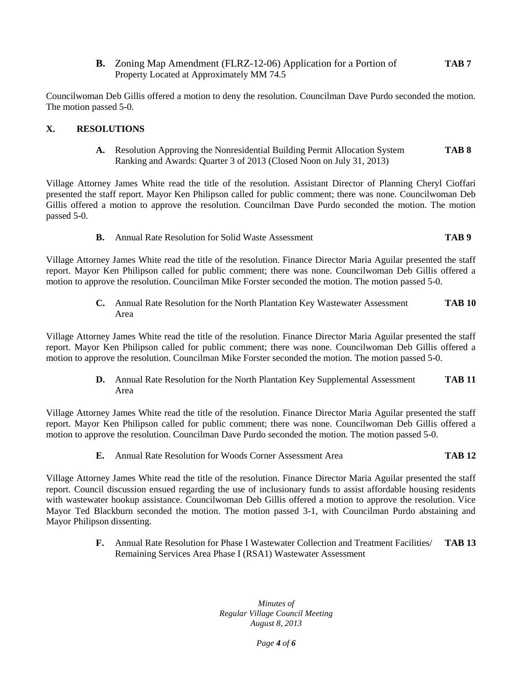**B.** Zoning Map Amendment (FLRZ-12-06) Application for a Portion of **TAB 7** Property Located at Approximately MM 74.5

Councilwoman Deb Gillis offered a motion to deny the resolution. Councilman Dave Purdo seconded the motion. The motion passed 5-0.

### **X. RESOLUTIONS**

**A.** Resolution Approving the Nonresidential Building Permit Allocation System **TAB 8** Ranking and Awards: Quarter 3 of 2013 (Closed Noon on July 31, 2013)

Village Attorney James White read the title of the resolution. Assistant Director of Planning Cheryl Cioffari presented the staff report. Mayor Ken Philipson called for public comment; there was none. Councilwoman Deb Gillis offered a motion to approve the resolution. Councilman Dave Purdo seconded the motion. The motion passed 5-0.

**B.** Annual Rate Resolution for Solid Waste Assessment **TAB 9**

Village Attorney James White read the title of the resolution. Finance Director Maria Aguilar presented the staff report. Mayor Ken Philipson called for public comment; there was none. Councilwoman Deb Gillis offered a motion to approve the resolution. Councilman Mike Forster seconded the motion. The motion passed 5-0.

> **C.** Annual Rate Resolution for the North Plantation Key Wastewater Assessment **TAB 10** Area

Village Attorney James White read the title of the resolution. Finance Director Maria Aguilar presented the staff report. Mayor Ken Philipson called for public comment; there was none. Councilwoman Deb Gillis offered a motion to approve the resolution. Councilman Mike Forster seconded the motion. The motion passed 5-0.

> **D.** Annual Rate Resolution for the North Plantation Key Supplemental Assessment **TAB 11** Area

Village Attorney James White read the title of the resolution. Finance Director Maria Aguilar presented the staff report. Mayor Ken Philipson called for public comment; there was none. Councilwoman Deb Gillis offered a motion to approve the resolution. Councilman Dave Purdo seconded the motion. The motion passed 5-0.

**E.** Annual Rate Resolution for Woods Corner Assessment Area **TAB 12**

Village Attorney James White read the title of the resolution. Finance Director Maria Aguilar presented the staff report. Council discussion ensued regarding the use of inclusionary funds to assist affordable housing residents with wastewater hookup assistance. Councilwoman Deb Gillis offered a motion to approve the resolution. Vice Mayor Ted Blackburn seconded the motion. The motion passed 3-1, with Councilman Purdo abstaining and Mayor Philipson dissenting.

> **F.** Annual Rate Resolution for Phase I Wastewater Collection and Treatment Facilities/ **TAB 13** Remaining Services Area Phase I (RSA1) Wastewater Assessment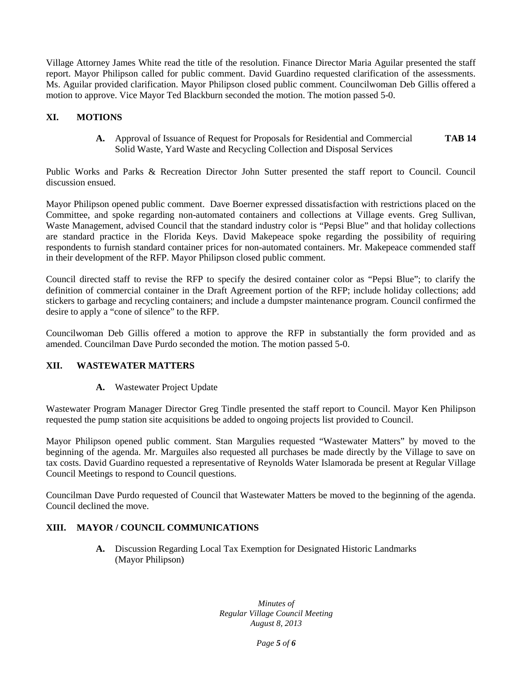Village Attorney James White read the title of the resolution. Finance Director Maria Aguilar presented the staff report. Mayor Philipson called for public comment. David Guardino requested clarification of the assessments. Ms. Aguilar provided clarification. Mayor Philipson closed public comment. Councilwoman Deb Gillis offered a motion to approve. Vice Mayor Ted Blackburn seconded the motion. The motion passed 5-0.

# **XI. MOTIONS**

**A.** Approval of Issuance of Request for Proposals for Residential and Commercial **TAB 14** Solid Waste, Yard Waste and Recycling Collection and Disposal Services

Public Works and Parks & Recreation Director John Sutter presented the staff report to Council. Council discussion ensued.

Mayor Philipson opened public comment. Dave Boerner expressed dissatisfaction with restrictions placed on the Committee, and spoke regarding non-automated containers and collections at Village events. Greg Sullivan, Waste Management, advised Council that the standard industry color is "Pepsi Blue" and that holiday collections are standard practice in the Florida Keys. David Makepeace spoke regarding the possibility of requiring respondents to furnish standard container prices for non-automated containers. Mr. Makepeace commended staff in their development of the RFP. Mayor Philipson closed public comment.

Council directed staff to revise the RFP to specify the desired container color as "Pepsi Blue"; to clarify the definition of commercial container in the Draft Agreement portion of the RFP; include holiday collections; add stickers to garbage and recycling containers; and include a dumpster maintenance program. Council confirmed the desire to apply a "cone of silence" to the RFP.

Councilwoman Deb Gillis offered a motion to approve the RFP in substantially the form provided and as amended. Councilman Dave Purdo seconded the motion. The motion passed 5-0.

### **XII. WASTEWATER MATTERS**

**A.** Wastewater Project Update

Wastewater Program Manager Director Greg Tindle presented the staff report to Council. Mayor Ken Philipson requested the pump station site acquisitions be added to ongoing projects list provided to Council.

Mayor Philipson opened public comment. Stan Margulies requested "Wastewater Matters" by moved to the beginning of the agenda. Mr. Marguiles also requested all purchases be made directly by the Village to save on tax costs. David Guardino requested a representative of Reynolds Water Islamorada be present at Regular Village Council Meetings to respond to Council questions.

Councilman Dave Purdo requested of Council that Wastewater Matters be moved to the beginning of the agenda. Council declined the move.

### **XIII. MAYOR / COUNCIL COMMUNICATIONS**

**A.** Discussion Regarding Local Tax Exemption for Designated Historic Landmarks (Mayor Philipson)